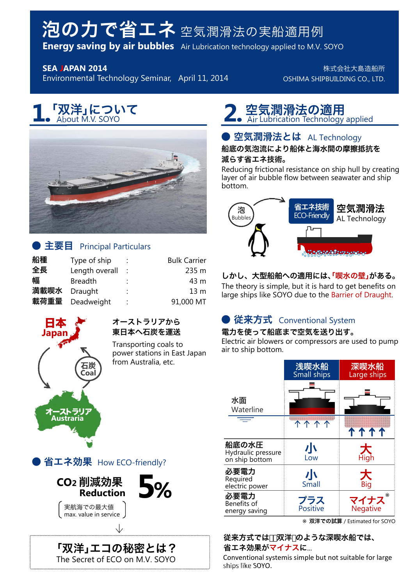# 泡の力で省エネ 空気潤滑法の実船適用例

**Energy saving by air bubbles** Air Lubrication technology applied to M.V. SOYO

**SEA JAPAN 2014**

Environmental Technology Seminar, April 11, 2014

株式会社大島造船所 OSHIMA SHIPBUILDING CO., LTD.

# **「双洋」について**<br>About M.V. SOYO



# ●主要目 Principal Particulars

| 船種   | Type of ship   |                      | <b>Bulk Carrier</b> |
|------|----------------|----------------------|---------------------|
| 全長   | Length overall | $\ddot{\phantom{a}}$ | 235 m               |
| 幅    | <b>Breadth</b> |                      | 43 m                |
| 満載喫水 | Draught        | $\ddot{\phantom{a}}$ | 13 <sub>m</sub>     |
| 載荷重量 | Deadweight     | ÷                    | 91,000 MT           |



#### オーストラリアから 東日本へ石炭を運送

Transporting coals to power stations in East Japan from Australia, etc.

# ● 省エネ効果 How ECO-friendly?



「双洋」エコの秘密とは? The Secret of ECO on M.V. SOYO

# 「双洋」について マンスの通用 About M.V. SOYO TABLE And Albout M.V. SOYO

# ● 空気潤滑法とは AL Technology

船底の気泡流により船体と海水間の摩擦抵抗を 減らす省エネ技術。

Reducing frictional resistance on ship hull by creating layer of air bubble flow between seawater and ship bottom.



# しかし、大型船舶への適用には、「喫水の壁」がある。

The theory is simple, but it is hard to get benefits on large ships like SOYO due to the Barrier of Draught.

# ● 従来方式 Conventional System

#### 電力を使って船底まで空気を送り出す。

Electric air blowers or compressors are used to pump air to ship bottom.

|                                               | 浅喫水船<br><b>Small ships</b> | 深喫水船<br>Large ships |
|-----------------------------------------------|----------------------------|---------------------|
| 水面<br>Waterline                               |                            |                     |
|                                               |                            | 1111                |
| 船底の水圧<br>Hydraulic pressure<br>on ship bottom | 小<br>Low                   | 大<br>High           |
| 必要電力<br>Required<br>electric power            | 小<br>Small                 | 大<br>Big            |
| 必要電力<br>Benefits of<br>energy saving          | プラス<br>Positive            | マイナス<br>Negative    |

双洋での試算 / Estimated for SOYO

従来方式では、「双洋 のような深喫水船では、 省エネ効果がマイナスに...

Conventional systemis simple but not suitable for large ships like SOYO.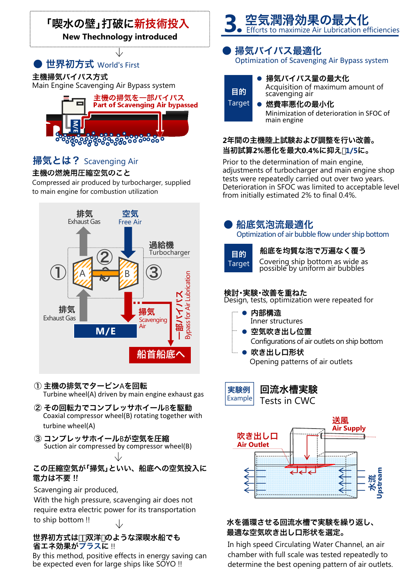# 「喫水の壁」打破に新技術投入

**New Thechnology introduced**

# ● 世界初方式 World's First

主機掃気バイパス方式

Main Engine Scavenging Air Bypass system



# 掃気とは? Scavenging Air

#### 主機の燃焼用圧縮空気のこと

Compressed air produced by turbocharger, supplied to main engine for combustion utilization



#### ① 主機の排気でタービンAを回転 Turbine wheel(A) driven by main engine exhaust gas

- ② その回転力でコンプレッサホイールBを駆動 Coaxial compressor wheel(B) rotating together with turbine wheel(A)
- ③ コンプレッサホイールBが空気を圧縮 Suction air compressed by compressor wheel(B)

#### この圧縮空気が「掃気」といい、船底への空気投入に 電力は不要 !!

#### Scavenging air produced,

With the high pressure, scavenging air does not require extra electric power for its transportation to ship bottom !!

## 省エネ効果がプラスに !! 世界初方式は、「双洋 のような深喫水船でも

By this method, positive effects in energy saving can be expected even for large ships like SOYO !!



# 掃気バイパス最適化

Optimization of Scavenging Air Bypass system



● 掃気バイパス量の最大化 Acquisition of maximum amount of scavenging air

Minimization of deterioration in SFOC of main engine ● 燃費率悪化の最小化

## **2**年間の主機陸上試験および調整を行い改善。 当初試算**2%**悪化を最大**0.4%**に抑え **1/5**に。

Prior to the determination of main engine, adjustments of turbocharger and main engine shop tests were repeatedly carried out over two years. Deterioration in SFOC was limited to acceptable level from initially estimated 2% to final 0.4%.

# ● 船底気泡流最適化

Optimization of air bubble flow under ship bottom



# <sub>目的</sub> 船底を均質な泡で万遍なく覆う

Covering ship bottom as wide as possible by uniform air bubbles

# 検討・実験・改善を重ねた

Design, tests, optimization were repeated for

- 内部構造 Inner structures
- 空気吹き出し位置 Configurations of air outlets on ship bottom
- 吹き出し口形状 Opening patterns of air outlets



回流水槽実験 Tests in CWC



## 水を循環させる回流水槽で実験を繰り返し、 最適な空気吹き出し口形状を選定。

In high speed Circulating Water Channel, an air chamber with full scale was tested repeatedly to determine the best opening pattern of air outlets.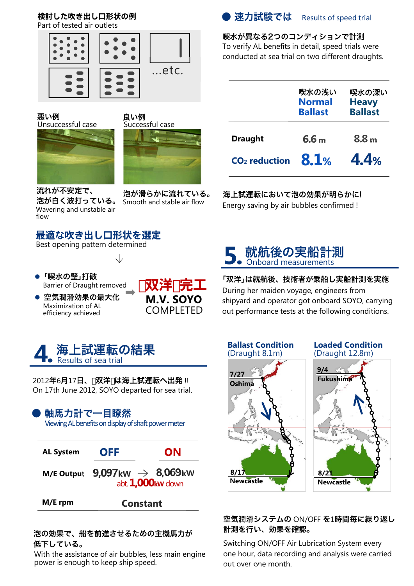# **検討した吹き出し口形状の例**

Part of tested air outlets



悪い例 良い例<br>Unsuccessful case Successful case Unsuccessful case





流れが不安定で、 Wavering and unstable air flow

流れか个女足 C、 そんが滑らかに流れている。<br>泡が白く波打っている。 Smooth and stable air flow Smooth and stable air flow

# **最適な吹き出し口形状を選定**

Best opening pattern determined

- 「喫水の壁」打破 Barrier of Draught removed
- 空気潤滑効果の最大化 Maximization of AL efficiency achieved





2012年6月17日、 双洋 は海上試運転へ出発 !! On 17th June 2012, SOYO departed for sea trial.

# ● 軸馬力計で一目瞭然

Viewing AL benefits on display of shaft power meter



#### 泡の効果で、船を前進させるための主機馬力が 低下している。

With the assistance of air bubbles, less main engine power is enough to keep ship speed.



#### 喫水が異なる2つのコンディションで計測 To verify AL benefits in detail, speed trials were

conducted at sea trial on two different draughts.

|                           | 喫水の浅い<br><b>Normal</b><br><b>Ballast</b> | 喫水の深い<br><b>Heavy</b><br><b>Ballast</b> |
|---------------------------|------------------------------------------|-----------------------------------------|
| <b>Draught</b>            | 6.6 <sub>m</sub>                         | 8.8 <sub>m</sub>                        |
| CO <sub>2</sub> reduction | 8.1%                                     | 4.4%                                    |

# 海上試運転において泡の効果が明らかに!

Energy saving by air bubbles confirmed !



## 「双洋」は就航後、技術者が乗船し実船計測を実施

During her maiden voyage, engineers from shipyard and operator got onboard SOYO, carrying out performance tests at the following conditions.



#### 空気潤滑システムの ON/OFF を1時間毎に繰り返し 計測を行い、効果を確認。

Switching ON/OFF Air Lubrication System every one hour, data recording and analysis were carried out over one month.